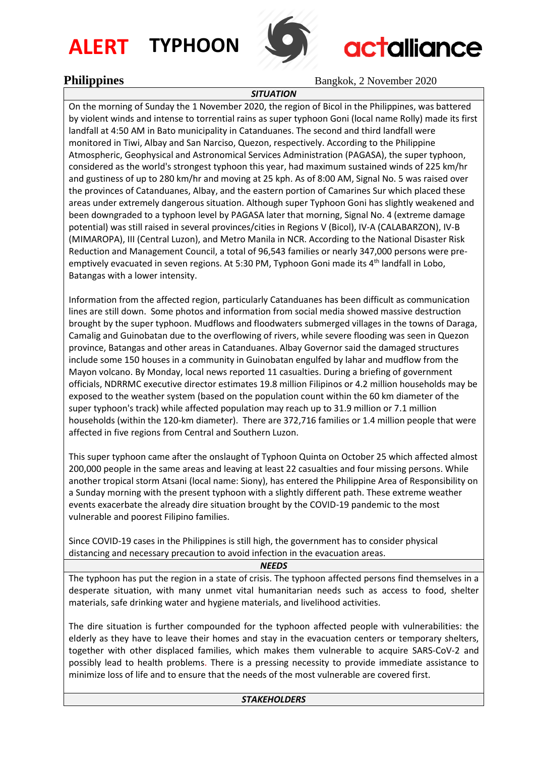# **ALERT TYPHOON**



# **actalliance**

**Philippines** Bangkok, 2 November 2020

#### *SITUATION*

On the morning of Sunday the 1 November 2020, the region of Bicol in the Philippines, was battered by violent winds and intense to torrential rains as super typhoon Goni (local name Rolly) made its first landfall at 4:50 AM in Bato municipality in Catanduanes. The second and third landfall were monitored in Tiwi, Albay and San Narciso, Quezon, respectively. According to the Philippine Atmospheric, Geophysical and Astronomical Services Administration (PAGASA), the super typhoon, considered as the world's strongest typhoon this year, had maximum sustained winds of 225 km/hr and gustiness of up to 280 km/hr and moving at 25 kph. As of 8:00 AM, Signal No. 5 was raised over the provinces of Catanduanes, Albay, and the eastern portion of Camarines Sur which placed these areas under extremely dangerous situation. Although super Typhoon Goni has slightly weakened and been downgraded to a typhoon level by PAGASA later that morning, Signal No. 4 (extreme damage potential) was still raised in several provinces/cities in Regions V (Bicol), IV-A (CALABARZON), IV-B (MIMAROPA), III (Central Luzon), and Metro Manila in NCR. According to the National Disaster Risk Reduction and Management Council, a total of 96,543 families or nearly 347,000 persons were preemptively evacuated in seven regions. At 5:30 PM, Typhoon Goni made its 4<sup>th</sup> landfall in Lobo, Batangas with a lower intensity.

Information from the affected region, particularly Catanduanes has been difficult as communication lines are still down. Some photos and information from social media showed massive destruction brought by the super typhoon. Mudflows and floodwaters submerged villages in the towns of Daraga, Camalig and Guinobatan due to the overflowing of rivers, while severe flooding was seen in Quezon province, Batangas and other areas in Catanduanes. Albay Governor said the damaged structures include some 150 houses in a community in Guinobatan engulfed by lahar and mudflow from the Mayon volcano. By Monday, local news reported 11 casualties. During a briefing of government officials, NDRRMC executive director estimates 19.8 million Filipinos or 4.2 million households may be exposed to the weather system (based on the population count within the 60 km diameter of the super typhoon's track) while affected population may reach up to 31.9 million or 7.1 million households (within the 120-km diameter). There are 372,716 families or 1.4 million people that were affected in five regions from Central and Southern Luzon.

This super typhoon came after the onslaught of Typhoon Quinta on October 25 which affected almost 200,000 people in the same areas and leaving at least 22 casualties and four missing persons. While another tropical storm Atsani (local name: Siony), has entered the Philippine Area of Responsibility on a Sunday morning with the present typhoon with a slightly different path. These extreme weather events exacerbate the already dire situation brought by the COVID-19 pandemic to the most vulnerable and poorest Filipino families.

Since COVID-19 cases in the Philippines is still high, the government has to consider physical distancing and necessary precaution to avoid infection in the evacuation areas.

*NEEDS*

The typhoon has put the region in a state of crisis. The typhoon affected persons find themselves in a desperate situation, with many unmet vital humanitarian needs such as access to food, shelter materials, safe drinking water and hygiene materials, and livelihood activities.

The dire situation is further compounded for the typhoon affected people with vulnerabilities: the elderly as they have to leave their homes and stay in the evacuation centers or temporary shelters, together with other displaced families, which makes them vulnerable to acquire SARS-CoV-2 and possibly lead to health problems. There is a pressing necessity to provide immediate assistance to minimize loss of life and to ensure that the needs of the most vulnerable are covered first.

### *STAKEHOLDERS*